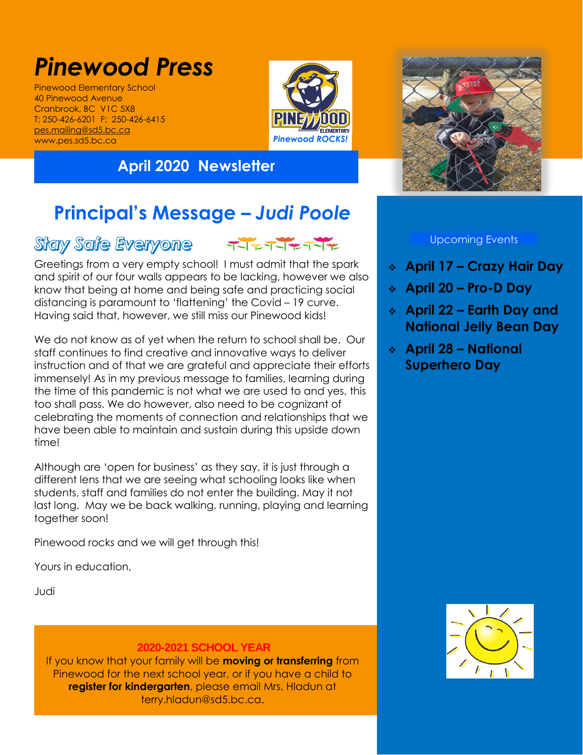# *Pinewood Press*

Pinewood Elementary School 40 Pinewood Avenue Cranbrook, BC V1C 5X8 T: 250-426-6201 F: 250-426-6415 [pes.mailing@sd5.bc.ca](mailto:pes.mailing@sd5.bc.ca) www.pes.sd5.bc.ca



### **April 2020 Newsletter**



# **Principal's Message –** *Judi Poole*

## Stay Safe Everyone TIFTIFTIF



Greetings from a very empty school! I must admit that the spark and spirit of our four walls appears to be lacking, however we also know that being at home and being safe and practicing social distancing is paramount to 'flattening' the Covid – 19 curve. Having said that, however, we still miss our Pinewood kids!

We do not know as of yet when the return to school shall be. Our staff continues to find creative and innovative ways to deliver instruction and of that we are grateful and appreciate their efforts immensely! As in my previous message to families, learning during the time of this pandemic is not what we are used to and yes, this too shall pass. We do however, also need to be cognizant of celebrating the moments of connection and relationships that we have been able to maintain and sustain during this upside down time!

Although are 'open for business' as they say, it is just through a different lens that we are seeing what schooling looks like when students, staff and families do not enter the building. May it not last long. May we be back walking, running, playing and learning together soon!

Pinewood rocks and we will get through this!

Yours in education,

Judi

#### **2020-2021 SCHOOL YEAR**

If you know that your family will be **moving or transferring** from Pinewood for the next school year, or if you have a child to **register for kindergarten**, please email Mrs. Hladun at terry.hladun@sd5.bc.ca.

#### Upcoming Events

- **April 17 – Crazy Hair Day**
- **April 20 – Pro-D Day**
- **April 22 – Earth Day and National Jelly Bean Day**
- **April 28 – National Superhero Day**